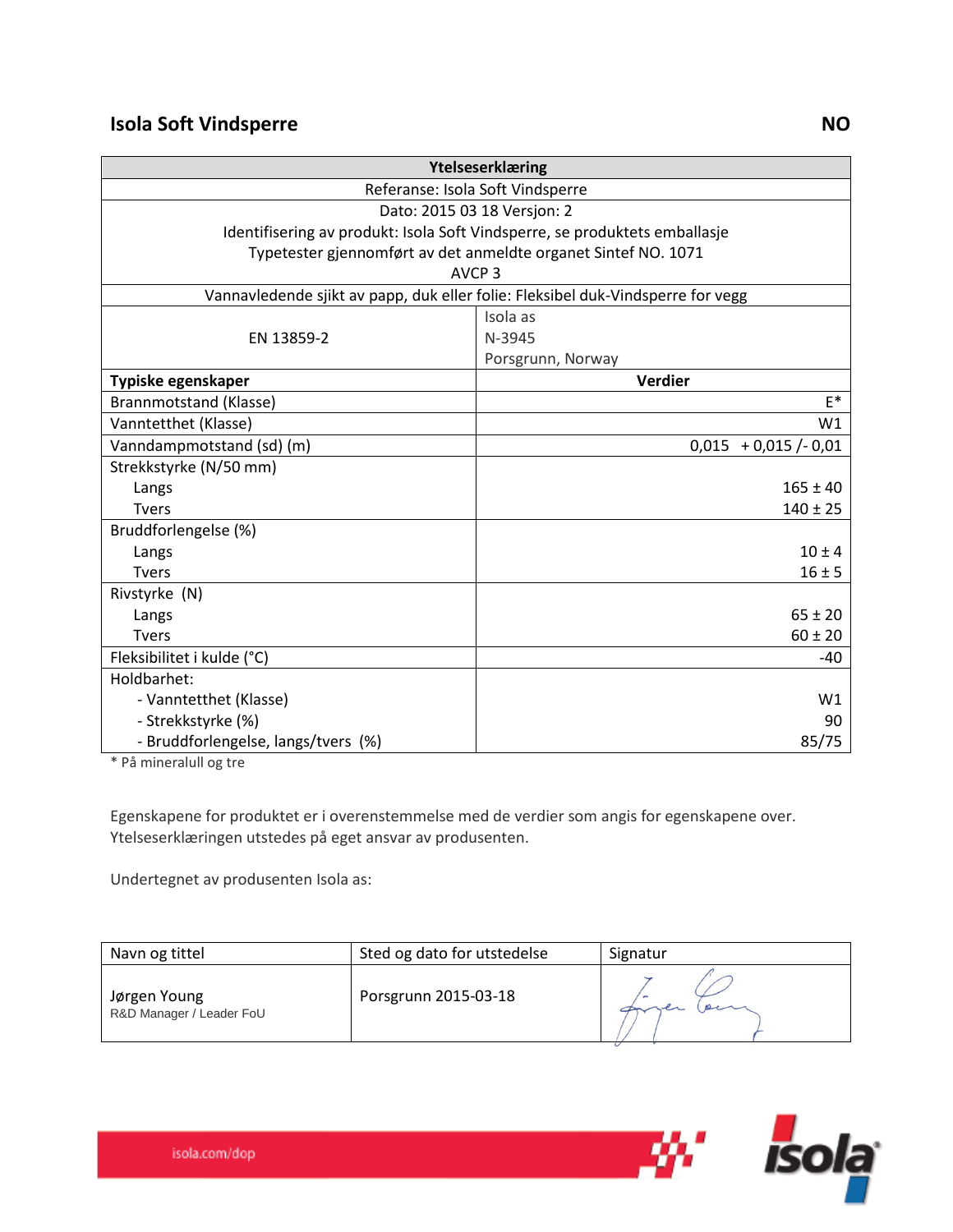| Ytelseserklæring                                                                |                         |  |
|---------------------------------------------------------------------------------|-------------------------|--|
| Referanse: Isola Soft Vindsperre                                                |                         |  |
| Dato: 2015 03 18 Versjon: 2                                                     |                         |  |
| Identifisering av produkt: Isola Soft Vindsperre, se produktets emballasje      |                         |  |
| Typetester gjennomført av det anmeldte organet Sintef NO. 1071                  |                         |  |
| AVCP <sub>3</sub>                                                               |                         |  |
| Vannavledende sjikt av papp, duk eller folie: Fleksibel duk-Vindsperre for vegg |                         |  |
|                                                                                 | Isola as                |  |
| EN 13859-2                                                                      | N-3945                  |  |
|                                                                                 | Porsgrunn, Norway       |  |
| Typiske egenskaper                                                              | Verdier                 |  |
| Brannmotstand (Klasse)                                                          | $E^*$                   |  |
| Vanntetthet (Klasse)                                                            | W1                      |  |
| Vanndampmotstand (sd) (m)                                                       | $0,015 + 0,015$ /- 0,01 |  |
| Strekkstyrke (N/50 mm)                                                          |                         |  |
| Langs                                                                           | $165 \pm 40$            |  |
| <b>Tvers</b>                                                                    | $140 \pm 25$            |  |
| Bruddforlengelse (%)                                                            |                         |  |
| Langs                                                                           | $10 \pm 4$              |  |
| <b>Tvers</b>                                                                    | $16 \pm 5$              |  |
| Rivstyrke (N)                                                                   |                         |  |
| Langs                                                                           | $65 \pm 20$             |  |
| <b>Tvers</b>                                                                    | $60 \pm 20$             |  |
| Fleksibilitet i kulde (°C)                                                      | $-40$                   |  |
| Holdbarhet:                                                                     |                         |  |
| - Vanntetthet (Klasse)                                                          | W1                      |  |
| - Strekkstyrke (%)                                                              | 90                      |  |
| - Bruddforlengelse, langs/tvers (%)                                             | 85/75                   |  |

\* På mineralull og tre

Egenskapene for produktet er i overenstemmelse med de verdier som angis for egenskapene over. Ytelseserklæringen utstedes på eget ansvar av produsenten.

Undertegnet av produsenten Isola as:

| Navn og tittel                           | Sted og dato for utstedelse | Signatur |
|------------------------------------------|-----------------------------|----------|
| Jørgen Young<br>R&D Manager / Leader FoU | Porsgrunn 2015-03-18        |          |

*isola*